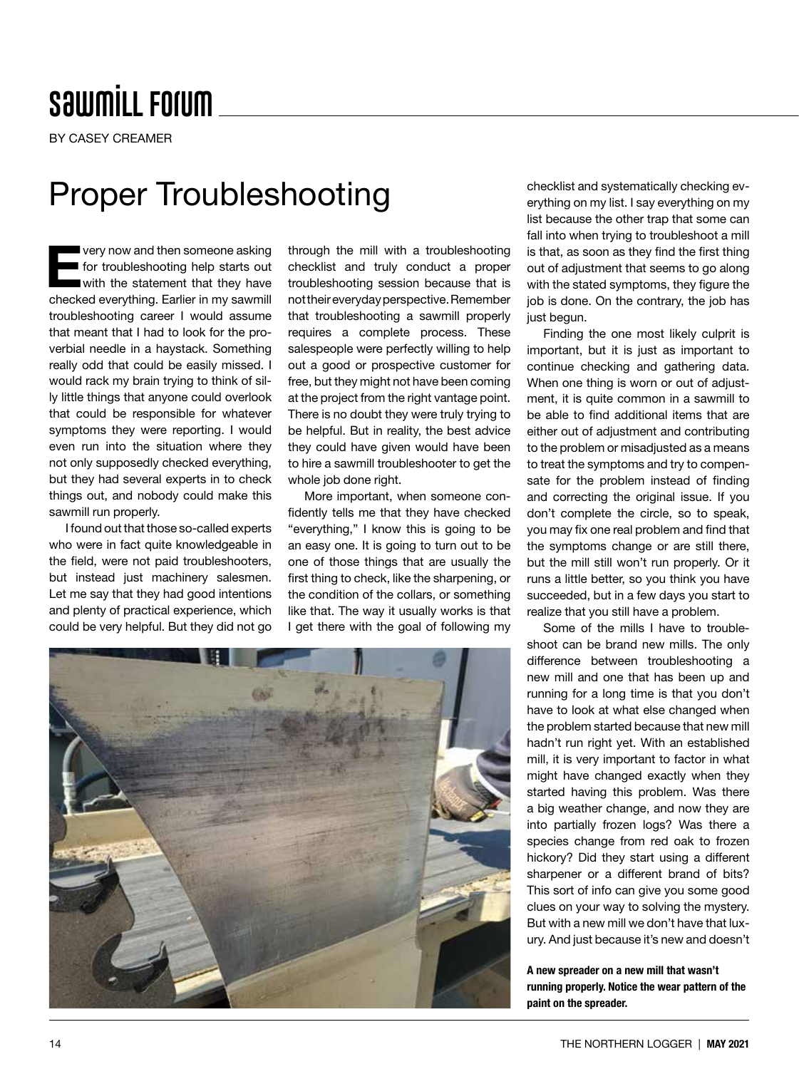## **SawmiLL Forum**

BY CASEY CREAMER

### Proper Troubleshooting

very now and then someone asking<br>for troubleshooting help starts out<br>with the statement that they have for troubleshooting help starts out with the statement that they have checked everything. Earlier in my sawmill troubleshooting career I would assume that meant that I had to look for the proverbial needle in a haystack. Something really odd that could be easily missed. I would rack my brain trying to think of silly little things that anyone could overlook that could be responsible for whatever symptoms they were reporting. I would even run into the situation where they not only supposedly checked everything, but they had several experts in to check things out, and nobody could make this sawmill run properly.

I found out that those so-called experts who were in fact quite knowledgeable in the field, were not paid troubleshooters, but instead just machinery salesmen. Let me say that they had good intentions and plenty of practical experience, which could be very helpful. But they did not go

through the mill with a troubleshooting checklist and truly conduct a proper troubleshooting session because that is not their everyday perspective. Remember that troubleshooting a sawmill properly requires a complete process. These salespeople were perfectly willing to help out a good or prospective customer for free, but they might not have been coming at the project from the right vantage point. There is no doubt they were truly trying to be helpful. But in reality, the best advice they could have given would have been to hire a sawmill troubleshooter to get the whole job done right.

More important, when someone confidently tells me that they have checked "everything," I know this is going to be an easy one. It is going to turn out to be one of those things that are usually the first thing to check, like the sharpening, or the condition of the collars, or something like that. The way it usually works is that I get there with the goal of following my



checklist and systematically checking everything on my list. I say everything on my list because the other trap that some can fall into when trying to troubleshoot a mill is that, as soon as they find the first thing out of adjustment that seems to go along with the stated symptoms, they figure the job is done. On the contrary, the job has just begun.

Finding the one most likely culprit is important, but it is just as important to continue checking and gathering data. When one thing is worn or out of adjustment, it is quite common in a sawmill to be able to find additional items that are either out of adjustment and contributing to the problem or misadjusted as a means to treat the symptoms and try to compensate for the problem instead of finding and correcting the original issue. If you don't complete the circle, so to speak, you may fix one real problem and find that the symptoms change or are still there, but the mill still won't run properly. Or it runs a little better, so you think you have succeeded, but in a few days you start to realize that you still have a problem.

Some of the mills I have to troubleshoot can be brand new mills. The only difference between troubleshooting a new mill and one that has been up and running for a long time is that you don't have to look at what else changed when the problem started because that new mill hadn't run right yet. With an established mill, it is very important to factor in what might have changed exactly when they started having this problem. Was there a big weather change, and now they are into partially frozen logs? Was there a species change from red oak to frozen hickory? Did they start using a different sharpener or a different brand of bits? This sort of info can give you some good clues on your way to solving the mystery. But with a new mill we don't have that luxury. And just because it's new and doesn't

A new spreader on a new mill that wasn't running properly. Notice the wear pattern of the paint on the spreader.